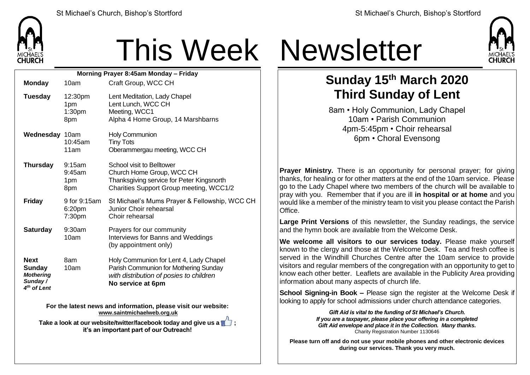

## This Week Newsletter

| Morning Prayer 8:45am Monday - Friday                                                  |                                             |                                                                                                                                                 |  |  |  |
|----------------------------------------------------------------------------------------|---------------------------------------------|-------------------------------------------------------------------------------------------------------------------------------------------------|--|--|--|
| <b>Monday</b>                                                                          | 10am                                        | Craft Group, WCC CH                                                                                                                             |  |  |  |
| <b>Tuesday</b>                                                                         | 12:30pm<br>1pm<br>1:30 <sub>pm</sub><br>8pm | Lent Meditation, Lady Chapel<br>Lent Lunch, WCC CH<br>Meeting, WCC1<br>Alpha 4 Home Group, 14 Marshbarns                                        |  |  |  |
| Wednesday 10am                                                                         | 10:45am<br>11am                             | Holy Communion<br><b>Tiny Tots</b><br>Oberammergau meeting, WCC CH                                                                              |  |  |  |
| <b>Thursday</b>                                                                        | 9:15am<br>9:45am<br>1pm<br>8pm              | School visit to Belltower<br>Church Home Group, WCC CH<br>Thanksgiving service for Peter Kingsnorth<br>Charities Support Group meeting, WCC1/2  |  |  |  |
| <b>Friday</b>                                                                          | 9 for 9:15am<br>6:20pm<br>7:30pm            | St Michael's Mums Prayer & Fellowship, WCC CH<br>Junior Choir rehearsal<br>Choir rehearsal                                                      |  |  |  |
| <b>Saturday</b>                                                                        | 9:30am<br>10am                              | Prayers for our community<br>Interviews for Banns and Weddings<br>(by appointment only)                                                         |  |  |  |
| <b>Next</b><br><b>Sunday</b><br><b>Mothering</b><br>Sunday/<br>4 <sup>th</sup> of Lent | 8am<br>10am                                 | Holy Communion for Lent 4, Lady Chapel<br>Parish Communion for Mothering Sunday<br>with distribution of posies to children<br>No service at 6pm |  |  |  |

**For the latest news and information, please visit our website: [www.saintmichaelweb.org.uk](http://www.saintmichaelweb.org.uk/)**

**Take a look at our website/twitter/facebook today and give us a**  $\mathbb{Z}$ **: it's an important part of our Outreach!**



## **Sunday 15th March 2020 Third Sunday of Lent**

8am • Holy Communion, Lady Chapel 10am • Parish Communion 4pm-5:45pm • Choir rehearsal 6pm • Choral Evensong

**Prayer Ministry.** There is an opportunity for personal prayer; for giving thanks, for healing or for other matters at the end of the 10am service. Please go to the Lady Chapel where two members of the church will be available to pray with you. Remember that if you are ill **in hospital or at home** and you would like a member of the ministry team to visit you please contact the Parish Office.

**Large Print Versions** of this newsletter, the Sunday readings, the service and the hymn book are available from the Welcome Desk.

**We welcome all visitors to our services today.** Please make yourself known to the clergy and those at the Welcome Desk. Tea and fresh coffee is served in the Windhill Churches Centre after the 10am service to provide visitors and regular members of the congregation with an opportunity to get to know each other better. Leaflets are available in the Publicity Area providing information about many aspects of church life.

**School Signing-in Book –** Please sign the register at the Welcome Desk if looking to apply for school admissions under church attendance categories.

> *Gift Aid is vital to the funding of St Michael's Church. If you are a taxpayer, please place your offering in a completed Gift Aid envelope and place it in the Collection. Many thanks.* Charity Registration Number 1130646

**Please turn off and do not use your mobile phones and other electronic devices during our services. Thank you very much.**